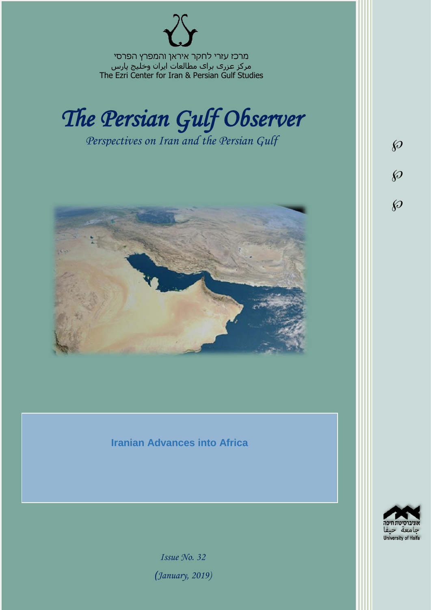מרכז עזרי לחקר איראן והמפרץ הפרסי مرکز عزری برای مطالعات ایران وخلیج پارس The Ezri Center for Iran & Persian Gulf Studies



*Perspectives on Iran and the Persian Gulf* 



## **Iranian Advances into Africa**

 $d_{\mathcal{D}}$ University of Haifa

 $\wp$ 

 $\wp$ 

 $\wp$ 

*Issue No. 32 )January, 2019)*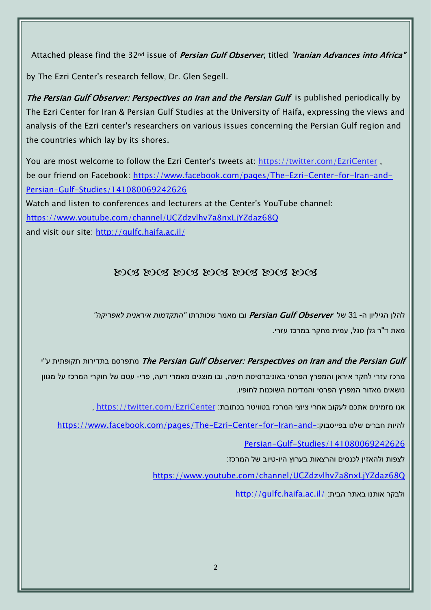Attached please find the 32<sup>nd</sup> issue of *Persian Gulf Observer*, titled "Iranian Advances into Africa"

by The Ezri Center's research fellow, Dr. Glen Segell.

The Persian Gulf Observer: Perspectives on Iran and the Persian Gulf is published periodically by The Ezri Center for Iran & Persian Gulf Studies at the University of Haifa, expressing the views and analysis of the Ezri center's researchers on various issues concerning the Persian Gulf region and the countries which lay by its shores.

You are most welcome to follow the Ezri Center's tweets at: <https://twitter.com/EzriCenter> , be our friend on Facebook: [https://www.facebook.com/pages/The-Ezri-Center-for-Iran-and-](https://www.facebook.com/pages/The-Ezri-Center-for-Iran-and-Persian-Gulf-Studies/141080069242626)[Persian-Gulf-Studies/141080069242626](https://www.facebook.com/pages/The-Ezri-Center-for-Iran-and-Persian-Gulf-Studies/141080069242626) Watch and listen to conferences and lecturers at the Center's YouTube channel: <https://www.youtube.com/channel/UCZdzvlhv7a8nxLjYZdaz68Q> and visit our site:<http://gulfc.haifa.ac.il/>

## 2008 2008 2008 2008 2008 2008

להלן הגיליון ה- 31 של Observer Gulf Persian ובו מאמר שכותרתו *"התקדמות איראנית לאפריקה"* מאת ד"ר גלן סגל, עמית מחקר במרכז עזרי.

יתפרסם בתדירות תקופתית ע"י The Persian Gulf Observer: Perspectives on Iran and the Persian Gulf מרכז עזרי לחקר איראן והמפרץ הפרסי באוניברסיטת חיפה, ובו מוצגים מאמרי דעה, פרי- עטם של חוקרי המרכז על מגוון נושאים מאזור המפרץ הפרסי והמדינות השוכנות לחופיו.

אנו מזמינים אתכם לעקוב אחרי ציוצי המרכז בטוויטר בכתובת: [EzriCenter/com.twitter://https](https://twitter.com/EzriCenter) ,

[https://www.facebook.com/pages/The-Ezri-Center-for-Iran-and-](https://www.facebook.com/pages/The-Ezri-Center-for-Iran-and-Persian-Gulf-Studies/141080069242626):בפייסבוק שלנו חברים להיות

[Persian-Gulf-Studies/141080069242626](https://www.facebook.com/pages/The-Ezri-Center-for-Iran-and-Persian-Gulf-Studies/141080069242626)

לצפות ולהאזין לכנסים והרצאות בערוץ היו-טיוב של המרכז:

<https://www.youtube.com/channel/UCZdzvlhv7a8nxLjYZdaz68Q>

<http://gulfc.haifa.ac.il/> ולבקר אותנו באתר הבית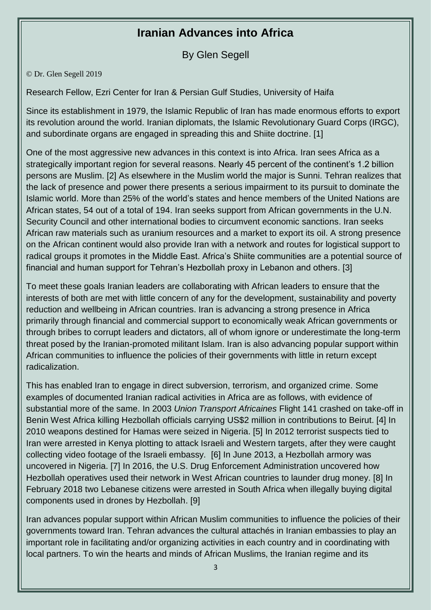## **Iranian Advances into Africa**

By Glen Segell

© Dr. Glen Segell 2019

Research Fellow, Ezri Center for Iran & Persian Gulf Studies, University of Haifa

Since its establishment in 1979, the Islamic Republic of Iran has made enormous efforts to export its revolution around the world. Iranian diplomats, the Islamic Revolutionary Guard Corps (IRGC), and subordinate organs are engaged in spreading this and Shiite doctrine. [1]

One of the most aggressive new advances in this context is into Africa. Iran sees Africa as a strategically important region for several reasons. Nearly 45 percent of the continent's 1.2 billion persons are Muslim. [2] As elsewhere in the Muslim world the major is Sunni. Tehran realizes that the lack of presence and power there presents a serious impairment to its pursuit to dominate the Islamic world. More than 25% of the world's states and hence members of the United Nations are African states, 54 out of a total of 194. Iran seeks support from African governments in the U.N. Security Council and other international bodies to circumvent economic sanctions. Iran seeks African raw materials such as uranium resources and a market to export its oil. A strong presence on the African continent would also provide Iran with a network and routes for logistical support to radical groups it promotes in the Middle East. Africa's Shiite communities are a potential source of financial and human support for Tehran's Hezbollah proxy in Lebanon and others. [3]

To meet these goals Iranian leaders are collaborating with African leaders to ensure that the interests of both are met with little concern of any for the development, sustainability and poverty reduction and wellbeing in African countries. Iran is advancing a strong presence in Africa primarily through financial and commercial support to economically weak African governments or through bribes to corrupt leaders and dictators, all of whom ignore or underestimate the long-term threat posed by the Iranian-promoted militant Islam. Iran is also advancing popular support within African communities to influence the policies of their governments with little in return except radicalization.

This has enabled Iran to engage in direct subversion, terrorism, and organized crime. Some examples of documented Iranian radical activities in Africa are as follows, with evidence of substantial more of the same. In 2003 *Union Transport Africaines* Flight 141 crashed on take-off in Benin West Africa killing Hezbollah officials carrying US\$2 million in contributions to Beirut. [4] In 2010 weapons destined for Hamas were seized in Nigeria. [5] In 2012 terrorist suspects tied to Iran were arrested in Kenya plotting to attack Israeli and Western targets, after they were caught collecting video footage of the Israeli embassy. [6] In June 2013, a Hezbollah armory was uncovered in Nigeria. [7] In 2016, the U.S. Drug Enforcement Administration uncovered how Hezbollah operatives used their network in West African countries to launder drug money. [8] In February 2018 two Lebanese citizens were arrested in South Africa when illegally buying digital components used in drones by Hezbollah. [9]

Iran advances popular support within African Muslim communities to influence the policies of their governments toward Iran. Tehran advances the cultural attachés in Iranian embassies to play an important role in facilitating and/or organizing activities in each country and in coordinating with local partners. To win the hearts and minds of African Muslims, the Iranian regime and its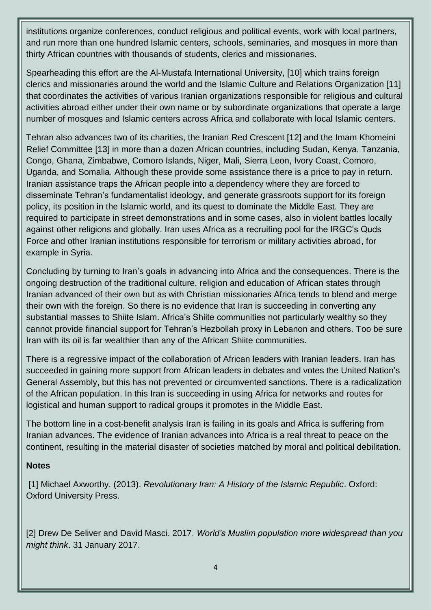institutions organize conferences, conduct religious and political events, work with local partners, and run more than one hundred Islamic centers, schools, seminaries, and mosques in more than thirty African countries with thousands of students, clerics and missionaries.

Spearheading this effort are the Al-Mustafa International University, [10] which trains foreign clerics and missionaries around the world and the Islamic Culture and Relations Organization [11] that coordinates the activities of various Iranian organizations responsible for religious and cultural activities abroad either under their own name or by subordinate organizations that operate a large number of mosques and Islamic centers across Africa and collaborate with local Islamic centers.

Tehran also advances two of its charities, the Iranian Red Crescent [12] and the Imam Khomeini Relief Committee [13] in more than a dozen African countries, including Sudan, Kenya, Tanzania, Congo, Ghana, Zimbabwe, Comoro Islands, Niger, Mali, Sierra Leon, Ivory Coast, Comoro, Uganda, and Somalia. Although these provide some assistance there is a price to pay in return. Iranian assistance traps the African people into a dependency where they are forced to disseminate Tehran's fundamentalist ideology, and generate grassroots support for its foreign policy, its position in the Islamic world, and its quest to dominate the Middle East. They are required to participate in street demonstrations and in some cases, also in violent battles locally against other religions and globally. Iran uses Africa as a recruiting pool for the IRGC's Quds Force and other Iranian institutions responsible for terrorism or military activities abroad, for example in Syria.

Concluding by turning to Iran's goals in advancing into Africa and the consequences. There is the ongoing destruction of the traditional culture, religion and education of African states through Iranian advanced of their own but as with Christian missionaries Africa tends to blend and merge their own with the foreign. So there is no evidence that Iran is succeeding in converting any substantial masses to Shiite Islam. Africa's Shiite communities not particularly wealthy so they cannot provide financial support for Tehran's Hezbollah proxy in Lebanon and others. Too be sure Iran with its oil is far wealthier than any of the African Shiite communities.

There is a regressive impact of the collaboration of African leaders with Iranian leaders. Iran has succeeded in gaining more support from African leaders in debates and votes the United Nation's General Assembly, but this has not prevented or circumvented sanctions. There is a radicalization of the African population. In this Iran is succeeding in using Africa for networks and routes for logistical and human support to radical groups it promotes in the Middle East.

The bottom line in a cost-benefit analysis Iran is failing in its goals and Africa is suffering from Iranian advances. The evidence of Iranian advances into Africa is a real threat to peace on the continent, resulting in the material disaster of societies matched by moral and political debilitation.

## **Notes**

[1] Michael Axworthy. (2013). *Revolutionary Iran: A History of the Islamic Republic*. Oxford: Oxford University Press.

[2] Drew De Seliver and David Masci. 2017. *World's Muslim population more widespread than you might think*. 31 January 2017.